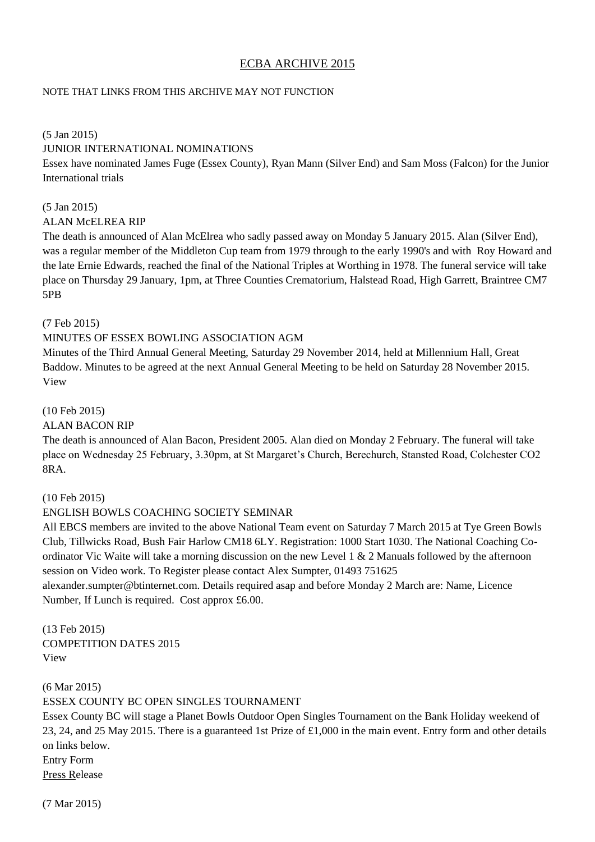# ECBA ARCHIVE 2015

#### NOTE THAT LINKS FROM THIS ARCHIVE MAY NOT FUNCTION

#### (5 Jan 2015)

#### JUNIOR INTERNATIONAL NOMINATIONS

Essex have nominated James Fuge (Essex County), Ryan Mann (Silver End) and Sam Moss (Falcon) for the Junior International trials

#### (5 Jan 2015)

#### ALAN McELREA RIP

The death is announced of Alan McElrea who sadly passed away on Monday 5 January 2015. Alan (Silver End), was a regular member of the Middleton Cup team from 1979 through to the early 1990's and with Roy Howard and the late Ernie Edwards, reached the final of the National Triples at Worthing in 1978. The funeral service will take place on Thursday 29 January, 1pm, at Three Counties Crematorium, Halstead Road, High Garrett, Braintree CM7 5PB

#### (7 Feb 2015)

## MINUTES OF ESSEX BOWLING ASSOCIATION AGM

Minutes of the Third Annual General Meeting, Saturday 29 November 2014, held at Millennium Hall, Great Baddow. Minutes to be agreed at the next Annual General Meeting to be held on Saturday 28 November 2015. View

## (10 Feb 2015)

#### ALAN BACON RIP

The death is announced of Alan Bacon, President 2005. Alan died on Monday 2 February. The funeral will take place on Wednesday 25 February, 3.30pm, at St Margaret's Church, Berechurch, Stansted Road, Colchester CO2 8RA.

#### (10 Feb 2015)

## ENGLISH BOWLS COACHING SOCIETY SEMINAR

All EBCS members are invited to the above National Team event on Saturday 7 March 2015 at Tye Green Bowls Club, Tillwicks Road, Bush Fair Harlow CM18 6LY. Registration: 1000 Start 1030. The National Coaching Coordinator Vic Waite will take a morning discussion on the new Level 1  $\&$  2 Manuals followed by the afternoon session on Video work. To Register please contact Alex Sumpter, 01493 751625

alexander.sumpter@btinternet.com. Details required asap and before Monday 2 March are: Name, Licence Number, If Lunch is required. Cost approx £6.00.

(13 Feb 2015) COMPETITION DATES 2015 View

(6 Mar 2015) ESSEX COUNTY BC OPEN SINGLES TOURNAMENT

Essex County BC will stage a Planet Bowls Outdoor Open Singles Tournament on the Bank Holiday weekend of 23, 24, and 25 May 2015. There is a guaranteed 1st Prize of £1,000 in the main event. Entry form and other details on links below.

Entry Form Press Release

(7 Mar 2015)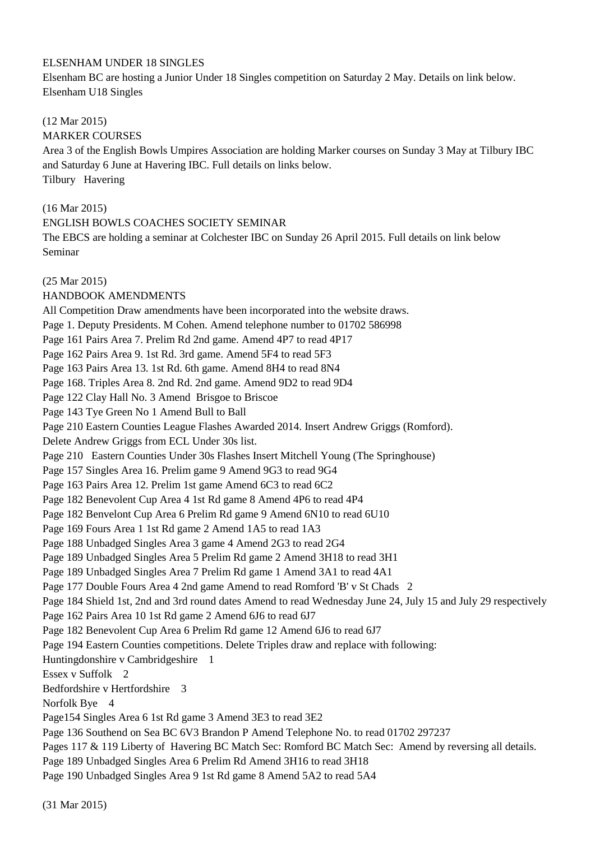## ELSENHAM UNDER 18 SINGLES

Elsenham BC are hosting a Junior Under 18 Singles competition on Saturday 2 May. Details on link below. Elsenham U18 Singles

# (12 Mar 2015)

MARKER COURSES

Area 3 of the English Bowls Umpires Association are holding Marker courses on Sunday 3 May at Tilbury IBC and Saturday 6 June at Havering IBC. Full details on links below. Tilbury Havering

# (16 Mar 2015)

## ENGLISH BOWLS COACHES SOCIETY SEMINAR

The EBCS are holding a seminar at Colchester IBC on Sunday 26 April 2015. Full details on link below Seminar

## (25 Mar 2015)

HANDBOOK AMENDMENTS All Competition Draw amendments have been incorporated into the website draws. Page 1. Deputy Presidents. M Cohen. Amend telephone number to 01702 586998 Page 161 Pairs Area 7. Prelim Rd 2nd game. Amend 4P7 to read 4P17 Page 162 Pairs Area 9. 1st Rd. 3rd game. Amend 5F4 to read 5F3 Page 163 Pairs Area 13. 1st Rd. 6th game. Amend 8H4 to read 8N4 Page 168. Triples Area 8. 2nd Rd. 2nd game. Amend 9D2 to read 9D4 Page 122 Clay Hall No. 3 Amend Brisgoe to Briscoe Page 143 Tye Green No 1 Amend Bull to Ball Page 210 Eastern Counties League Flashes Awarded 2014. Insert Andrew Griggs (Romford). Delete Andrew Griggs from ECL Under 30s list. Page 210 Eastern Counties Under 30s Flashes Insert Mitchell Young (The Springhouse) Page 157 Singles Area 16. Prelim game 9 Amend 9G3 to read 9G4 Page 163 Pairs Area 12. Prelim 1st game Amend 6C3 to read 6C2 Page 182 Benevolent Cup Area 4 1st Rd game 8 Amend 4P6 to read 4P4 Page 182 Benvelont Cup Area 6 Prelim Rd game 9 Amend 6N10 to read 6U10 Page 169 Fours Area 1 1st Rd game 2 Amend 1A5 to read 1A3 Page 188 Unbadged Singles Area 3 game 4 Amend 2G3 to read 2G4 Page 189 Unbadged Singles Area 5 Prelim Rd game 2 Amend 3H18 to read 3H1 Page 189 Unbadged Singles Area 7 Prelim Rd game 1 Amend 3A1 to read 4A1 Page 177 Double Fours Area 4 2nd game Amend to read Romford 'B' v St Chads 2 Page 184 Shield 1st, 2nd and 3rd round dates Amend to read Wednesday June 24, July 15 and July 29 respectively Page 162 Pairs Area 10 1st Rd game 2 Amend 6J6 to read 6J7 Page 182 Benevolent Cup Area 6 Prelim Rd game 12 Amend 6J6 to read 6J7 Page 194 Eastern Counties competitions. Delete Triples draw and replace with following: Huntingdonshire v Cambridgeshire 1 Essex v Suffolk 2 Bedfordshire v Hertfordshire 3 Norfolk Bye 4 Page154 Singles Area 6 1st Rd game 3 Amend 3E3 to read 3E2 Page 136 Southend on Sea BC 6V3 Brandon P Amend Telephone No. to read 01702 297237 Pages 117 & 119 Liberty of Havering BC Match Sec: Romford BC Match Sec: Amend by reversing all details. Page 189 Unbadged Singles Area 6 Prelim Rd Amend 3H16 to read 3H18 Page 190 Unbadged Singles Area 9 1st Rd game 8 Amend 5A2 to read 5A4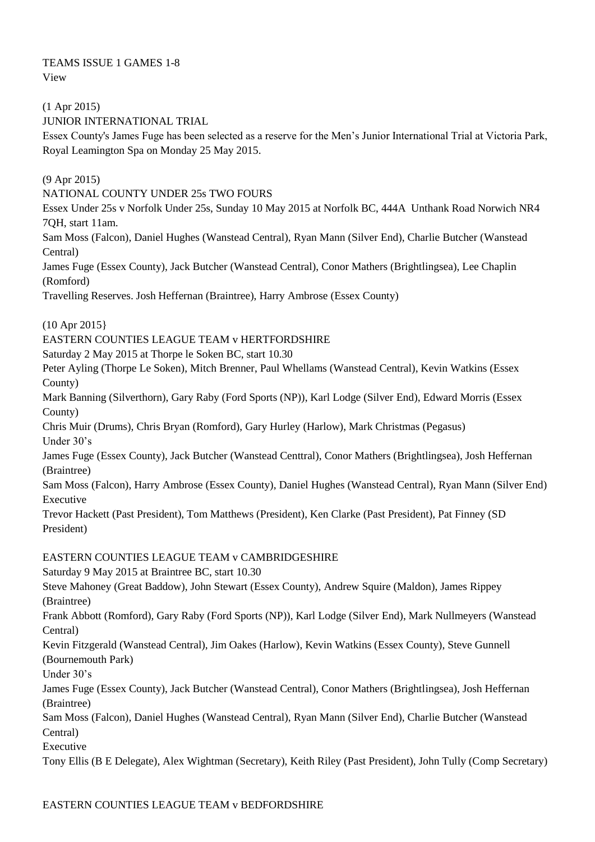TEAMS ISSUE 1 GAMES 1-8 View

(1 Apr 2015) JUNIOR INTERNATIONAL TRIAL

Essex County's James Fuge has been selected as a reserve for the Men's Junior International Trial at Victoria Park, Royal Leamington Spa on Monday 25 May 2015.

(9 Apr 2015)

NATIONAL COUNTY UNDER 25s TWO FOURS

Essex Under 25s v Norfolk Under 25s, Sunday 10 May 2015 at Norfolk BC, 444A Unthank Road Norwich NR4 7QH, start 11am.

Sam Moss (Falcon), Daniel Hughes (Wanstead Central), Ryan Mann (Silver End), Charlie Butcher (Wanstead Central)

James Fuge (Essex County), Jack Butcher (Wanstead Central), Conor Mathers (Brightlingsea), Lee Chaplin (Romford)

Travelling Reserves. Josh Heffernan (Braintree), Harry Ambrose (Essex County)

(10 Apr 2015}

EASTERN COUNTIES LEAGUE TEAM v HERTFORDSHIRE

Saturday 2 May 2015 at Thorpe le Soken BC, start 10.30

Peter Ayling (Thorpe Le Soken), Mitch Brenner, Paul Whellams (Wanstead Central), Kevin Watkins (Essex County)

Mark Banning (Silverthorn), Gary Raby (Ford Sports (NP)), Karl Lodge (Silver End), Edward Morris (Essex County)

Chris Muir (Drums), Chris Bryan (Romford), Gary Hurley (Harlow), Mark Christmas (Pegasus) Under 30's

James Fuge (Essex County), Jack Butcher (Wanstead Centtral), Conor Mathers (Brightlingsea), Josh Heffernan (Braintree)

Sam Moss (Falcon), Harry Ambrose (Essex County), Daniel Hughes (Wanstead Central), Ryan Mann (Silver End) Executive

Trevor Hackett (Past President), Tom Matthews (President), Ken Clarke (Past President), Pat Finney (SD President)

# EASTERN COUNTIES LEAGUE TEAM v CAMBRIDGESHIRE

Saturday 9 May 2015 at Braintree BC, start 10.30

Steve Mahoney (Great Baddow), John Stewart (Essex County), Andrew Squire (Maldon), James Rippey (Braintree)

Frank Abbott (Romford), Gary Raby (Ford Sports (NP)), Karl Lodge (Silver End), Mark Nullmeyers (Wanstead Central)

Kevin Fitzgerald (Wanstead Central), Jim Oakes (Harlow), Kevin Watkins (Essex County), Steve Gunnell (Bournemouth Park)

Under 30's

James Fuge (Essex County), Jack Butcher (Wanstead Central), Conor Mathers (Brightlingsea), Josh Heffernan (Braintree)

Sam Moss (Falcon), Daniel Hughes (Wanstead Central), Ryan Mann (Silver End), Charlie Butcher (Wanstead Central)

Executive

Tony Ellis (B E Delegate), Alex Wightman (Secretary), Keith Riley (Past President), John Tully (Comp Secretary)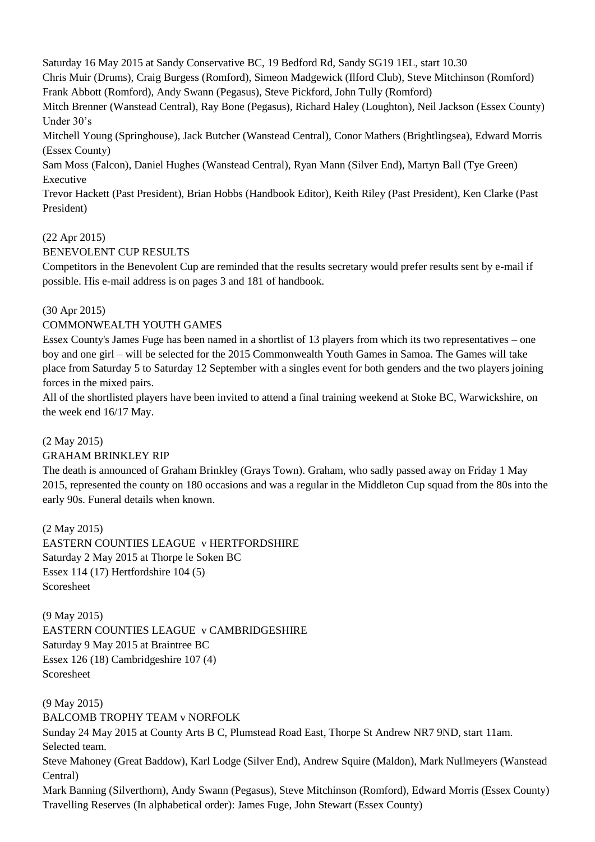Saturday 16 May 2015 at Sandy Conservative BC, 19 Bedford Rd, Sandy SG19 1EL, start 10.30

Chris Muir (Drums), Craig Burgess (Romford), Simeon Madgewick (Ilford Club), Steve Mitchinson (Romford) Frank Abbott (Romford), Andy Swann (Pegasus), Steve Pickford, John Tully (Romford)

Mitch Brenner (Wanstead Central), Ray Bone (Pegasus), Richard Haley (Loughton), Neil Jackson (Essex County) Under 30's

Mitchell Young (Springhouse), Jack Butcher (Wanstead Central), Conor Mathers (Brightlingsea), Edward Morris (Essex County)

Sam Moss (Falcon), Daniel Hughes (Wanstead Central), Ryan Mann (Silver End), Martyn Ball (Tye Green) Executive

Trevor Hackett (Past President), Brian Hobbs (Handbook Editor), Keith Riley (Past President), Ken Clarke (Past President)

## (22 Apr 2015)

BENEVOLENT CUP RESULTS

Competitors in the Benevolent Cup are reminded that the results secretary would prefer results sent by e-mail if possible. His e-mail address is on pages 3 and 181 of handbook.

# (30 Apr 2015)

## COMMONWEALTH YOUTH GAMES

Essex County's James Fuge has been named in a shortlist of 13 players from which its two representatives – one boy and one girl – will be selected for the 2015 Commonwealth Youth Games in Samoa. The Games will take place from Saturday 5 to Saturday 12 September with a singles event for both genders and the two players joining forces in the mixed pairs.

All of the shortlisted players have been invited to attend a final training weekend at Stoke BC, Warwickshire, on the week end 16/17 May.

## (2 May 2015)

## GRAHAM BRINKLEY RIP

The death is announced of Graham Brinkley (Grays Town). Graham, who sadly passed away on Friday 1 May 2015, represented the county on 180 occasions and was a regular in the Middleton Cup squad from the 80s into the early 90s. Funeral details when known.

(2 May 2015)

EASTERN COUNTIES LEAGUE v HERTFORDSHIRE Saturday 2 May 2015 at Thorpe le Soken BC Essex 114 (17) Hertfordshire 104 (5) Scoresheet

(9 May 2015) EASTERN COUNTIES LEAGUE v CAMBRIDGESHIRE Saturday 9 May 2015 at Braintree BC Essex 126 (18) Cambridgeshire 107 (4) Scoresheet

#### (9 May 2015) BALCOMB TROPHY TEAM v NORFOLK

Sunday 24 May 2015 at County Arts B C, Plumstead Road East, Thorpe St Andrew NR7 9ND, start 11am. Selected team.

Steve Mahoney (Great Baddow), Karl Lodge (Silver End), Andrew Squire (Maldon), Mark Nullmeyers (Wanstead Central)

Mark Banning (Silverthorn), Andy Swann (Pegasus), Steve Mitchinson (Romford), Edward Morris (Essex County) Travelling Reserves (In alphabetical order): James Fuge, John Stewart (Essex County)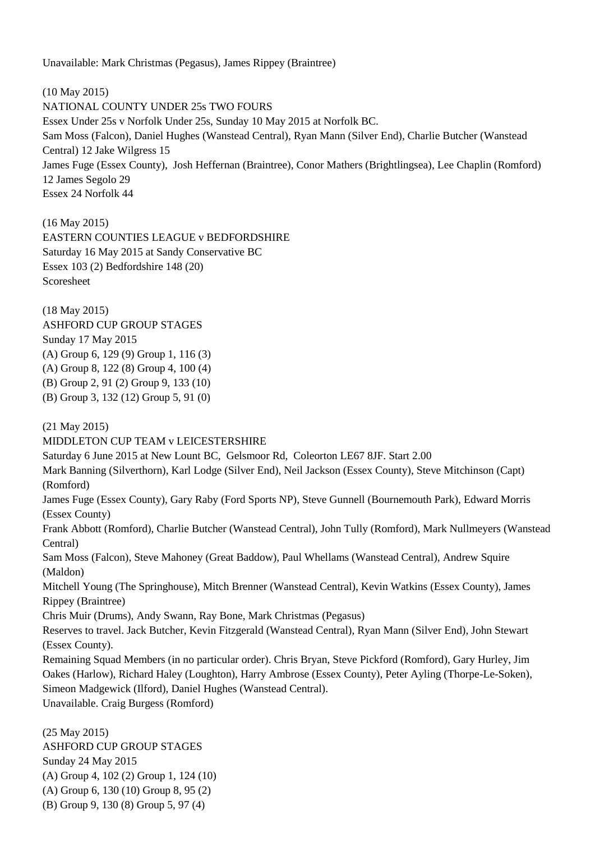Unavailable: Mark Christmas (Pegasus), James Rippey (Braintree)

(10 May 2015) NATIONAL COUNTY UNDER 25s TWO FOURS Essex Under 25s v Norfolk Under 25s, Sunday 10 May 2015 at Norfolk BC. Sam Moss (Falcon), Daniel Hughes (Wanstead Central), Ryan Mann (Silver End), Charlie Butcher (Wanstead Central) 12 Jake Wilgress 15 James Fuge (Essex County), Josh Heffernan (Braintree), Conor Mathers (Brightlingsea), Lee Chaplin (Romford) 12 James Segolo 29 Essex 24 Norfolk 44

(16 May 2015) EASTERN COUNTIES LEAGUE v BEDFORDSHIRE Saturday 16 May 2015 at Sandy Conservative BC Essex 103 (2) Bedfordshire 148 (20) Scoresheet

(18 May 2015) ASHFORD CUP GROUP STAGES Sunday 17 May 2015 (A) Group 6, 129 (9) Group 1, 116 (3) (A) Group 8, 122 (8) Group 4, 100 (4) (B) Group 2, 91 (2) Group 9, 133 (10) (B) Group 3, 132 (12) Group 5, 91 (0)

(21 May 2015)

MIDDLETON CUP TEAM v LEICESTERSHIRE

Saturday 6 June 2015 at New Lount BC, Gelsmoor Rd, Coleorton LE67 8JF. Start 2.00

Mark Banning (Silverthorn), Karl Lodge (Silver End), Neil Jackson (Essex County), Steve Mitchinson (Capt) (Romford)

James Fuge (Essex County), Gary Raby (Ford Sports NP), Steve Gunnell (Bournemouth Park), Edward Morris (Essex County)

Frank Abbott (Romford), Charlie Butcher (Wanstead Central), John Tully (Romford), Mark Nullmeyers (Wanstead Central)

Sam Moss (Falcon), Steve Mahoney (Great Baddow), Paul Whellams (Wanstead Central), Andrew Squire (Maldon)

Mitchell Young (The Springhouse), Mitch Brenner (Wanstead Central), Kevin Watkins (Essex County), James Rippey (Braintree)

Chris Muir (Drums), Andy Swann, Ray Bone, Mark Christmas (Pegasus)

Reserves to travel. Jack Butcher, Kevin Fitzgerald (Wanstead Central), Ryan Mann (Silver End), John Stewart (Essex County).

Remaining Squad Members (in no particular order). Chris Bryan, Steve Pickford (Romford), Gary Hurley, Jim Oakes (Harlow), Richard Haley (Loughton), Harry Ambrose (Essex County), Peter Ayling (Thorpe-Le-Soken), Simeon Madgewick (Ilford), Daniel Hughes (Wanstead Central).

Unavailable. Craig Burgess (Romford)

(25 May 2015) ASHFORD CUP GROUP STAGES Sunday 24 May 2015 (A) Group 4, 102 (2) Group 1, 124 (10) (A) Group 6, 130 (10) Group 8, 95 (2) (B) Group 9, 130 (8) Group 5, 97 (4)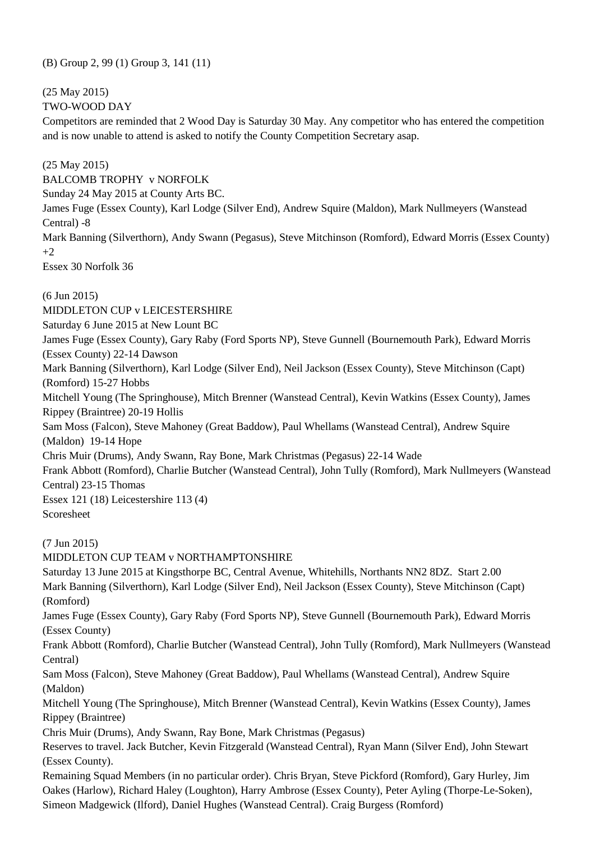(B) Group 2, 99 (1) Group 3, 141 (11)

(25 May 2015)

TWO-WOOD DAY

Competitors are reminded that 2 Wood Day is Saturday 30 May. Any competitor who has entered the competition and is now unable to attend is asked to notify the County Competition Secretary asap.

(25 May 2015)

BALCOMB TROPHY v NORFOLK

Sunday 24 May 2015 at County Arts BC.

James Fuge (Essex County), Karl Lodge (Silver End), Andrew Squire (Maldon), Mark Nullmeyers (Wanstead Central) -8

Mark Banning (Silverthorn), Andy Swann (Pegasus), Steve Mitchinson (Romford), Edward Morris (Essex County)  $+2$ 

Essex 30 Norfolk 36

(6 Jun 2015)

MIDDLETON CUP v LEICESTERSHIRE

Saturday 6 June 2015 at New Lount BC

James Fuge (Essex County), Gary Raby (Ford Sports NP), Steve Gunnell (Bournemouth Park), Edward Morris (Essex County) 22-14 Dawson

Mark Banning (Silverthorn), Karl Lodge (Silver End), Neil Jackson (Essex County), Steve Mitchinson (Capt) (Romford) 15-27 Hobbs

Mitchell Young (The Springhouse), Mitch Brenner (Wanstead Central), Kevin Watkins (Essex County), James Rippey (Braintree) 20-19 Hollis

Sam Moss (Falcon), Steve Mahoney (Great Baddow), Paul Whellams (Wanstead Central), Andrew Squire (Maldon) 19-14 Hope

Chris Muir (Drums), Andy Swann, Ray Bone, Mark Christmas (Pegasus) 22-14 Wade

Frank Abbott (Romford), Charlie Butcher (Wanstead Central), John Tully (Romford), Mark Nullmeyers (Wanstead Central) 23-15 Thomas

Essex 121 (18) Leicestershire 113 (4) Scoresheet

(7 Jun 2015)

MIDDLETON CUP TEAM v NORTHAMPTONSHIRE Saturday 13 June 2015 at Kingsthorpe BC, Central Avenue, Whitehills, Northants NN2 8DZ. Start 2.00

Mark Banning (Silverthorn), Karl Lodge (Silver End), Neil Jackson (Essex County), Steve Mitchinson (Capt) (Romford)

James Fuge (Essex County), Gary Raby (Ford Sports NP), Steve Gunnell (Bournemouth Park), Edward Morris (Essex County)

Frank Abbott (Romford), Charlie Butcher (Wanstead Central), John Tully (Romford), Mark Nullmeyers (Wanstead Central)

Sam Moss (Falcon), Steve Mahoney (Great Baddow), Paul Whellams (Wanstead Central), Andrew Squire (Maldon)

Mitchell Young (The Springhouse), Mitch Brenner (Wanstead Central), Kevin Watkins (Essex County), James Rippey (Braintree)

Chris Muir (Drums), Andy Swann, Ray Bone, Mark Christmas (Pegasus)

Reserves to travel. Jack Butcher, Kevin Fitzgerald (Wanstead Central), Ryan Mann (Silver End), John Stewart (Essex County).

Remaining Squad Members (in no particular order). Chris Bryan, Steve Pickford (Romford), Gary Hurley, Jim Oakes (Harlow), Richard Haley (Loughton), Harry Ambrose (Essex County), Peter Ayling (Thorpe-Le-Soken), Simeon Madgewick (Ilford), Daniel Hughes (Wanstead Central). Craig Burgess (Romford)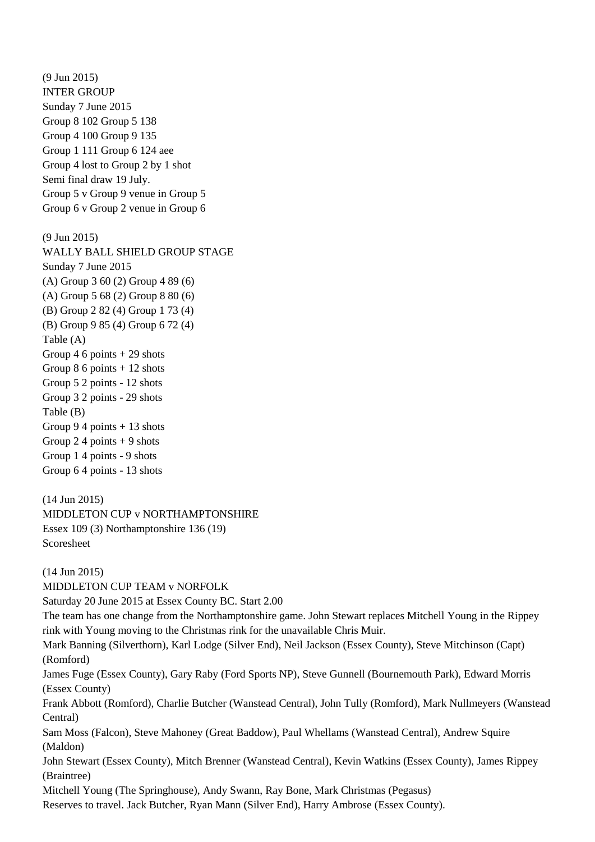(9 Jun 2015) INTER GROUP Sunday 7 June 2015 Group 8 102 Group 5 138 Group 4 100 Group 9 135 Group 1 111 Group 6 124 aee Group 4 lost to Group 2 by 1 shot Semi final draw 19 July. Group 5 v Group 9 venue in Group 5 Group 6 v Group 2 venue in Group 6 (9 Jun 2015) WALLY BALL SHIELD GROUP STAGE Sunday 7 June 2015 (A) Group 3 60 (2) Group 4 89 (6) (A) Group 5 68 (2) Group 8 80 (6) (B) Group 2 82 (4) Group 1 73 (4) (B) Group 9 85 (4) Group 6 72 (4) Table (A) Group 4 6 points  $+29$  shots Group  $86$  points  $+12$  shots Group 5 2 points - 12 shots Group 3 2 points - 29 shots Table (B) Group 9.4 points  $+13$  shots Group 2.4 points + 9 shots Group 1 4 points - 9 shots Group 6 4 points - 13 shots (14 Jun 2015) MIDDLETON CUP v NORTHAMPTONSHIRE Essex 109 (3) Northamptonshire 136 (19) Scoresheet (14 Jun 2015) MIDDLETON CUP TEAM v NORFOLK Saturday 20 June 2015 at Essex County BC. Start 2.00 The team has one change from the Northamptonshire game. John Stewart replaces Mitchell Young in the Rippey rink with Young moving to the Christmas rink for the unavailable Chris Muir. Mark Banning (Silverthorn), Karl Lodge (Silver End), Neil Jackson (Essex County), Steve Mitchinson (Capt) (Romford) James Fuge (Essex County), Gary Raby (Ford Sports NP), Steve Gunnell (Bournemouth Park), Edward Morris (Essex County) Frank Abbott (Romford), Charlie Butcher (Wanstead Central), John Tully (Romford), Mark Nullmeyers (Wanstead Central) Sam Moss (Falcon), Steve Mahoney (Great Baddow), Paul Whellams (Wanstead Central), Andrew Squire

(Maldon)

John Stewart (Essex County), Mitch Brenner (Wanstead Central), Kevin Watkins (Essex County), James Rippey (Braintree)

Mitchell Young (The Springhouse), Andy Swann, Ray Bone, Mark Christmas (Pegasus)

Reserves to travel. Jack Butcher, Ryan Mann (Silver End), Harry Ambrose (Essex County).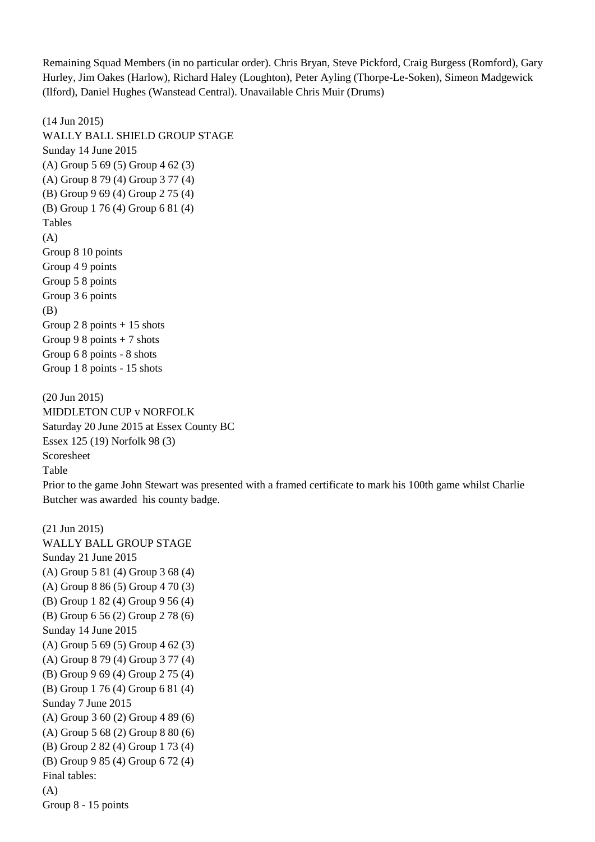Remaining Squad Members (in no particular order). Chris Bryan, Steve Pickford, Craig Burgess (Romford), Gary Hurley, Jim Oakes (Harlow), Richard Haley (Loughton), Peter Ayling (Thorpe-Le-Soken), Simeon Madgewick (Ilford), Daniel Hughes (Wanstead Central). Unavailable Chris Muir (Drums)

(14 Jun 2015) WALLY BALL SHIELD GROUP STAGE Sunday 14 June 2015 (A) Group 5 69 (5) Group 4 62 (3) (A) Group 8 79 (4) Group 3 77 (4) (B) Group 9 69 (4) Group 2 75 (4) (B) Group 1 76 (4) Group 6 81 (4) Tables (A) Group 8 10 points Group 4 9 points Group 5 8 points Group 3 6 points (B) Group 2 8 points  $+15$  shots Group 9 8 points  $+ 7$  shots Group 6 8 points - 8 shots Group 1 8 points - 15 shots

(20 Jun 2015) MIDDLETON CUP v NORFOLK Saturday 20 June 2015 at Essex County BC Essex 125 (19) Norfolk 98 (3) Scoresheet Table

Prior to the game John Stewart was presented with a framed certificate to mark his 100th game whilst Charlie Butcher was awarded his county badge.

(21 Jun 2015) WALLY BALL GROUP STAGE Sunday 21 June 2015 (A) Group 5 81 (4) Group 3 68 (4) (A) Group 8 86 (5) Group 4 70 (3) (B) Group 1 82 (4) Group 9 56 (4) (B) Group 6 56 (2) Group 2 78 (6) Sunday 14 June 2015 (A) Group 5 69 (5) Group 4 62 (3) (A) Group 8 79 (4) Group 3 77 (4) (B) Group 9 69 (4) Group 2 75 (4) (B) Group 1 76 (4) Group 6 81 (4) Sunday 7 June 2015 (A) Group 3 60 (2) Group 4 89 (6) (A) Group 5 68 (2) Group 8 80 (6) (B) Group 2 82 (4) Group 1 73 (4) (B) Group 9 85 (4) Group 6 72 (4) Final tables: (A) Group 8 - 15 points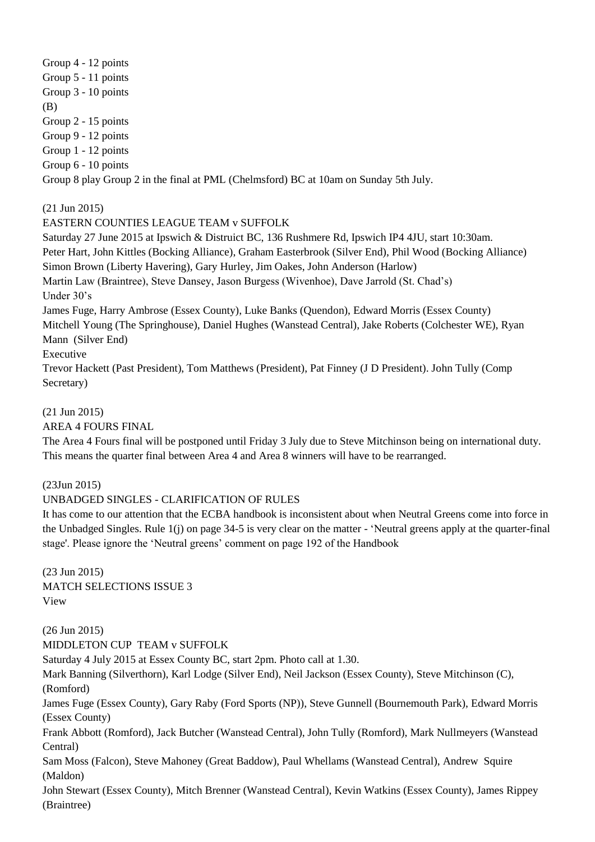Group 4 - 12 points Group 5 - 11 points Group 3 - 10 points (B) Group 2 - 15 points Group 9 - 12 points Group 1 - 12 points Group 6 - 10 points Group 8 play Group 2 in the final at PML (Chelmsford) BC at 10am on Sunday 5th July.

(21 Jun 2015)

# EASTERN COUNTIES LEAGUE TEAM v SUFFOLK

Saturday 27 June 2015 at Ipswich & Distruict BC, 136 Rushmere Rd, Ipswich IP4 4JU, start 10:30am. Peter Hart, John Kittles (Bocking Alliance), Graham Easterbrook (Silver End), Phil Wood (Bocking Alliance) Simon Brown (Liberty Havering), Gary Hurley, Jim Oakes, John Anderson (Harlow) Martin Law (Braintree), Steve Dansey, Jason Burgess (Wivenhoe), Dave Jarrold (St. Chad's) Under 30's James Fuge, Harry Ambrose (Essex County), Luke Banks (Quendon), Edward Morris (Essex County) Mitchell Young (The Springhouse), Daniel Hughes (Wanstead Central), Jake Roberts (Colchester WE), Ryan Mann (Silver End) Executive

Trevor Hackett (Past President), Tom Matthews (President), Pat Finney (J D President). John Tully (Comp Secretary)

# (21 Jun 2015)

AREA 4 FOURS FINAL

The Area 4 Fours final will be postponed until Friday 3 July due to Steve Mitchinson being on international duty. This means the quarter final between Area 4 and Area 8 winners will have to be rearranged.

(23Jun 2015)

(Braintree)

# UNBADGED SINGLES - CLARIFICATION OF RULES

It has come to our attention that the ECBA handbook is inconsistent about when Neutral Greens come into force in the Unbadged Singles. Rule 1(j) on page 34-5 is very clear on the matter - 'Neutral greens apply at the quarter-final stage'. Please ignore the 'Neutral greens' comment on page 192 of the Handbook

(23 Jun 2015) MATCH SELECTIONS ISSUE 3 View

(26 Jun 2015) MIDDLETON CUP TEAM v SUFFOLK Saturday 4 July 2015 at Essex County BC, start 2pm. Photo call at 1.30. Mark Banning (Silverthorn), Karl Lodge (Silver End), Neil Jackson (Essex County), Steve Mitchinson (C), (Romford) James Fuge (Essex County), Gary Raby (Ford Sports (NP)), Steve Gunnell (Bournemouth Park), Edward Morris (Essex County) Frank Abbott (Romford), Jack Butcher (Wanstead Central), John Tully (Romford), Mark Nullmeyers (Wanstead Central) Sam Moss (Falcon), Steve Mahoney (Great Baddow), Paul Whellams (Wanstead Central), Andrew Squire (Maldon) John Stewart (Essex County), Mitch Brenner (Wanstead Central), Kevin Watkins (Essex County), James Rippey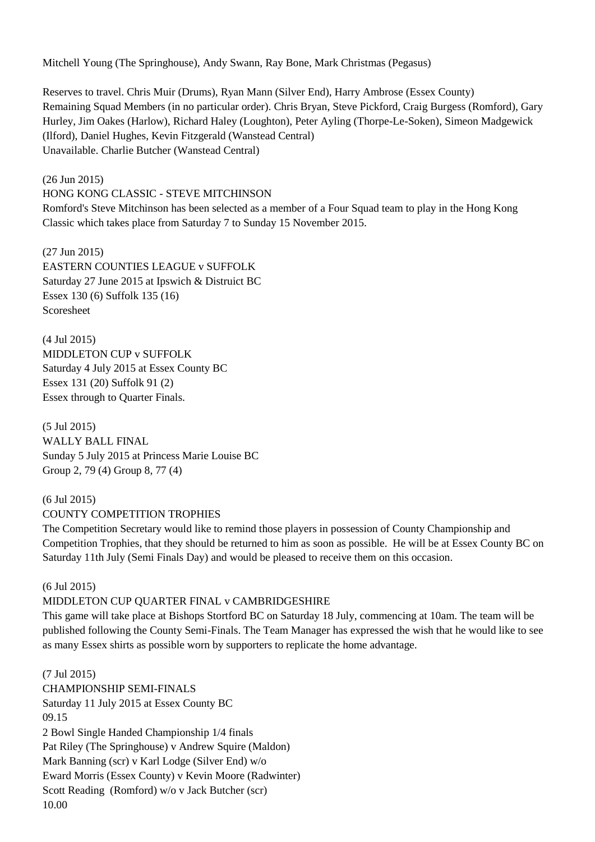Mitchell Young (The Springhouse), Andy Swann, Ray Bone, Mark Christmas (Pegasus)

Reserves to travel. Chris Muir (Drums), Ryan Mann (Silver End), Harry Ambrose (Essex County) Remaining Squad Members (in no particular order). Chris Bryan, Steve Pickford, Craig Burgess (Romford), Gary Hurley, Jim Oakes (Harlow), Richard Haley (Loughton), Peter Ayling (Thorpe-Le-Soken), Simeon Madgewick (Ilford), Daniel Hughes, Kevin Fitzgerald (Wanstead Central) Unavailable. Charlie Butcher (Wanstead Central)

(26 Jun 2015) HONG KONG CLASSIC - STEVE MITCHINSON Romford's Steve Mitchinson has been selected as a member of a Four Squad team to play in the Hong Kong Classic which takes place from Saturday 7 to Sunday 15 November 2015.

(27 Jun 2015) EASTERN COUNTIES LEAGUE v SUFFOLK Saturday 27 June 2015 at Ipswich & Distruict BC Essex 130 (6) Suffolk 135 (16) Scoresheet

(4 Jul 2015) MIDDLETON CUP v SUFFOLK Saturday 4 July 2015 at Essex County BC Essex 131 (20) Suffolk 91 (2) Essex through to Quarter Finals.

(5 Jul 2015) WALLY BALL FINAL Sunday 5 July 2015 at Princess Marie Louise BC Group 2, 79 (4) Group 8, 77 (4)

# (6 Jul 2015) COUNTY COMPETITION TROPHIES

The Competition Secretary would like to remind those players in possession of County Championship and Competition Trophies, that they should be returned to him as soon as possible. He will be at Essex County BC on Saturday 11th July (Semi Finals Day) and would be pleased to receive them on this occasion.

## (6 Jul 2015)

## MIDDLETON CUP QUARTER FINAL v CAMBRIDGESHIRE

This game will take place at Bishops Stortford BC on Saturday 18 July, commencing at 10am. The team will be published following the County Semi-Finals. The Team Manager has expressed the wish that he would like to see as many Essex shirts as possible worn by supporters to replicate the home advantage.

#### (7 Jul 2015)

CHAMPIONSHIP SEMI-FINALS Saturday 11 July 2015 at Essex County BC 09.15 2 Bowl Single Handed Championship 1/4 finals Pat Riley (The Springhouse) v Andrew Squire (Maldon) Mark Banning (scr) v Karl Lodge (Silver End) w/o Eward Morris (Essex County) v Kevin Moore (Radwinter) Scott Reading (Romford) w/o v Jack Butcher (scr) 10.00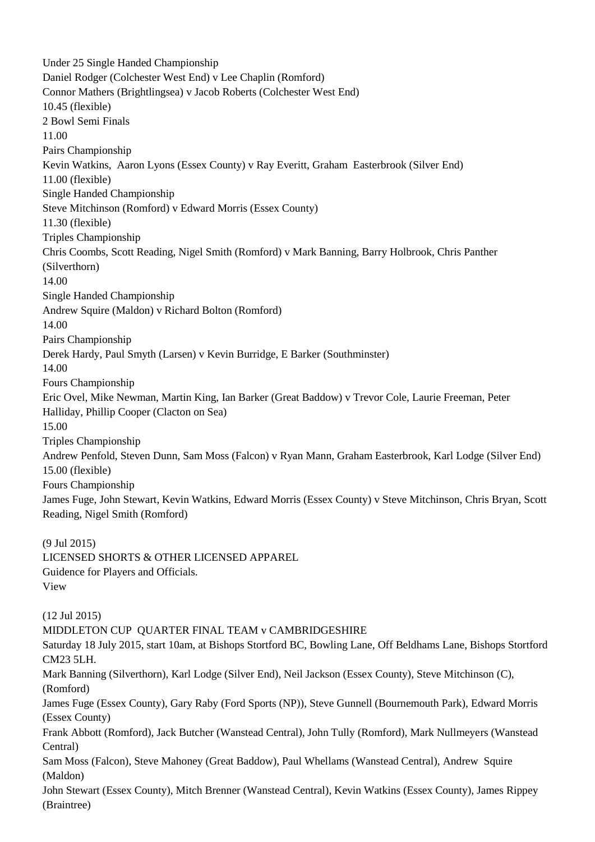Under 25 Single Handed Championship Daniel Rodger (Colchester West End) v Lee Chaplin (Romford) Connor Mathers (Brightlingsea) v Jacob Roberts (Colchester West End) 10.45 (flexible) 2 Bowl Semi Finals 11.00 Pairs Championship Kevin Watkins, Aaron Lyons (Essex County) v Ray Everitt, Graham Easterbrook (Silver End) 11.00 (flexible) Single Handed Championship Steve Mitchinson (Romford) v Edward Morris (Essex County) 11.30 (flexible) Triples Championship Chris Coombs, Scott Reading, Nigel Smith (Romford) v Mark Banning, Barry Holbrook, Chris Panther (Silverthorn) 14.00 Single Handed Championship Andrew Squire (Maldon) v Richard Bolton (Romford) 14.00 Pairs Championship Derek Hardy, Paul Smyth (Larsen) v Kevin Burridge, E Barker (Southminster) 14.00 Fours Championship Eric Ovel, Mike Newman, Martin King, Ian Barker (Great Baddow) v Trevor Cole, Laurie Freeman, Peter Halliday, Phillip Cooper (Clacton on Sea) 15.00 Triples Championship Andrew Penfold, Steven Dunn, Sam Moss (Falcon) v Ryan Mann, Graham Easterbrook, Karl Lodge (Silver End) 15.00 (flexible) Fours Championship James Fuge, John Stewart, Kevin Watkins, Edward Morris (Essex County) v Steve Mitchinson, Chris Bryan, Scott Reading, Nigel Smith (Romford) (9 Jul 2015) LICENSED SHORTS & OTHER LICENSED APPAREL Guidence for Players and Officials. View (12 Jul 2015) MIDDLETON CUP QUARTER FINAL TEAM v CAMBRIDGESHIRE Saturday 18 July 2015, start 10am, at Bishops Stortford BC, Bowling Lane, Off Beldhams Lane, Bishops Stortford CM23 5LH. Mark Banning (Silverthorn), Karl Lodge (Silver End), Neil Jackson (Essex County), Steve Mitchinson (C), (Romford) James Fuge (Essex County), Gary Raby (Ford Sports (NP)), Steve Gunnell (Bournemouth Park), Edward Morris (Essex County) Frank Abbott (Romford), Jack Butcher (Wanstead Central), John Tully (Romford), Mark Nullmeyers (Wanstead Central) Sam Moss (Falcon), Steve Mahoney (Great Baddow), Paul Whellams (Wanstead Central), Andrew Squire (Maldon) John Stewart (Essex County), Mitch Brenner (Wanstead Central), Kevin Watkins (Essex County), James Rippey (Braintree)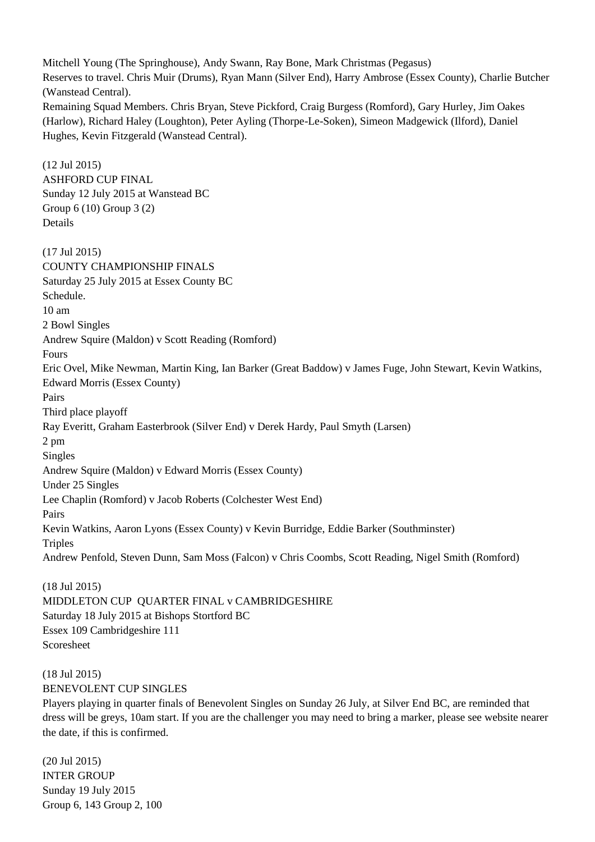Mitchell Young (The Springhouse), Andy Swann, Ray Bone, Mark Christmas (Pegasus) Reserves to travel. Chris Muir (Drums), Ryan Mann (Silver End), Harry Ambrose (Essex County), Charlie Butcher (Wanstead Central). Remaining Squad Members. Chris Bryan, Steve Pickford, Craig Burgess (Romford), Gary Hurley, Jim Oakes (Harlow), Richard Haley (Loughton), Peter Ayling (Thorpe-Le-Soken), Simeon Madgewick (Ilford), Daniel Hughes, Kevin Fitzgerald (Wanstead Central).

(12 Jul 2015) ASHFORD CUP FINAL Sunday 12 July 2015 at Wanstead BC Group 6 (10) Group 3 (2) Details (17 Jul 2015) COUNTY CHAMPIONSHIP FINALS Saturday 25 July 2015 at Essex County BC Schedule. 10 am 2 Bowl Singles Andrew Squire (Maldon) v Scott Reading (Romford) Fours Eric Ovel, Mike Newman, Martin King, Ian Barker (Great Baddow) v James Fuge, John Stewart, Kevin Watkins, Edward Morris (Essex County) Pairs Third place playoff Ray Everitt, Graham Easterbrook (Silver End) v Derek Hardy, Paul Smyth (Larsen) 2 pm Singles Andrew Squire (Maldon) v Edward Morris (Essex County) Under 25 Singles Lee Chaplin (Romford) v Jacob Roberts (Colchester West End) Pairs Kevin Watkins, Aaron Lyons (Essex County) v Kevin Burridge, Eddie Barker (Southminster) **Triples** Andrew Penfold, Steven Dunn, Sam Moss (Falcon) v Chris Coombs, Scott Reading, Nigel Smith (Romford)

#### (18 Jul 2015)

MIDDLETON CUP QUARTER FINAL v CAMBRIDGESHIRE Saturday 18 July 2015 at Bishops Stortford BC Essex 109 Cambridgeshire 111 Scoresheet

# (18 Jul 2015) BENEVOLENT CUP SINGLES

Players playing in quarter finals of Benevolent Singles on Sunday 26 July, at Silver End BC, are reminded that dress will be greys, 10am start. If you are the challenger you may need to bring a marker, please see website nearer the date, if this is confirmed.

(20 Jul 2015) INTER GROUP Sunday 19 July 2015 Group 6, 143 Group 2, 100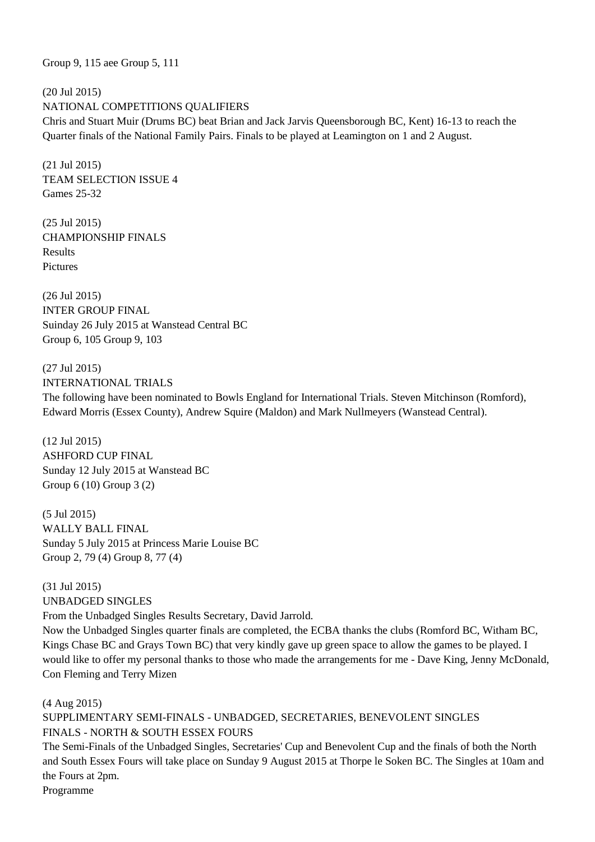Group 9, 115 aee Group 5, 111

(20 Jul 2015) NATIONAL COMPETITIONS QUALIFIERS Chris and Stuart Muir (Drums BC) beat Brian and Jack Jarvis Queensborough BC, Kent) 16-13 to reach the Quarter finals of the National Family Pairs. Finals to be played at Leamington on 1 and 2 August.

(21 Jul 2015) TEAM SELECTION ISSUE 4 Games 25-32

(25 Jul 2015) CHAMPIONSHIP FINALS Results Pictures

(26 Jul 2015) INTER GROUP FINAL Suinday 26 July 2015 at Wanstead Central BC Group 6, 105 Group 9, 103

(27 Jul 2015) INTERNATIONAL TRIALS The following have been nominated to Bowls England for International Trials. Steven Mitchinson (Romford), Edward Morris (Essex County), Andrew Squire (Maldon) and Mark Nullmeyers (Wanstead Central).

(12 Jul 2015) ASHFORD CUP FINAL Sunday 12 July 2015 at Wanstead BC Group 6 (10) Group 3 (2)

(5 Jul 2015) WALLY BALL FINAL Sunday 5 July 2015 at Princess Marie Louise BC Group 2, 79 (4) Group 8, 77 (4)

(31 Jul 2015) UNBADGED SINGLES From the Unbadged Singles Results Secretary, David Jarrold. Now the Unbadged Singles quarter finals are completed, the ECBA thanks the clubs (Romford BC, Witham BC, Kings Chase BC and Grays Town BC) that very kindly gave up green space to allow the games to be played. I would like to offer my personal thanks to those who made the arrangements for me - Dave King, Jenny McDonald, Con Fleming and Terry Mizen

(4 Aug 2015)

SUPPLIMENTARY SEMI-FINALS - UNBADGED, SECRETARIES, BENEVOLENT SINGLES FINALS - NORTH & SOUTH ESSEX FOURS

The Semi-Finals of the Unbadged Singles, Secretaries' Cup and Benevolent Cup and the finals of both the North and South Essex Fours will take place on Sunday 9 August 2015 at Thorpe le Soken BC. The Singles at 10am and the Fours at 2pm.

Programme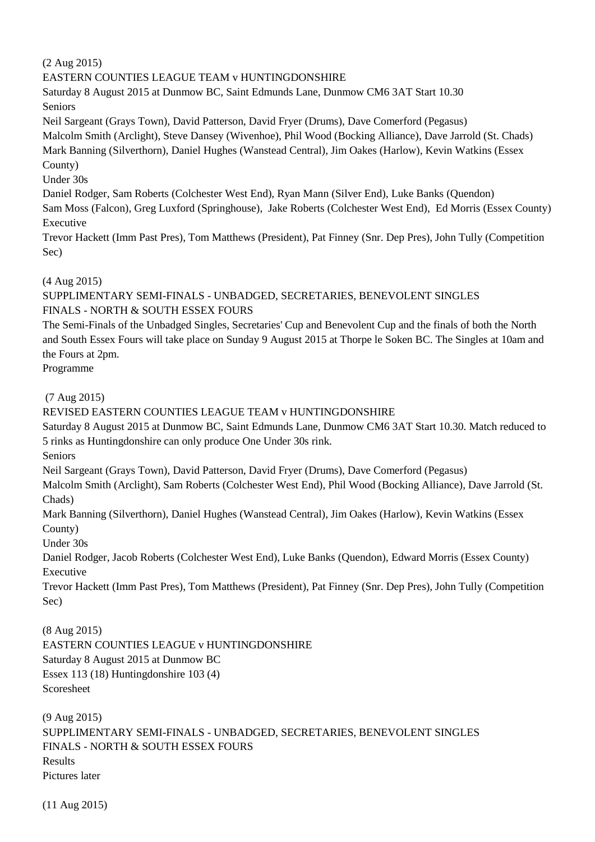(2 Aug 2015)

# EASTERN COUNTIES LEAGUE TEAM v HUNTINGDONSHIRE

Saturday 8 August 2015 at Dunmow BC, Saint Edmunds Lane, Dunmow CM6 3AT Start 10.30 Seniors

Neil Sargeant (Grays Town), David Patterson, David Fryer (Drums), Dave Comerford (Pegasus)

Malcolm Smith (Arclight), Steve Dansey (Wivenhoe), Phil Wood (Bocking Alliance), Dave Jarrold (St. Chads) Mark Banning (Silverthorn), Daniel Hughes (Wanstead Central), Jim Oakes (Harlow), Kevin Watkins (Essex County)

Under 30s

Daniel Rodger, Sam Roberts (Colchester West End), Ryan Mann (Silver End), Luke Banks (Quendon)

Sam Moss (Falcon), Greg Luxford (Springhouse), Jake Roberts (Colchester West End), Ed Morris (Essex County) Executive

Trevor Hackett (Imm Past Pres), Tom Matthews (President), Pat Finney (Snr. Dep Pres), John Tully (Competition Sec)

# (4 Aug 2015)

SUPPLIMENTARY SEMI-FINALS - UNBADGED, SECRETARIES, BENEVOLENT SINGLES FINALS - NORTH & SOUTH ESSEX FOURS

The Semi-Finals of the Unbadged Singles, Secretaries' Cup and Benevolent Cup and the finals of both the North and South Essex Fours will take place on Sunday 9 August 2015 at Thorpe le Soken BC. The Singles at 10am and the Fours at 2pm.

Programme

# (7 Aug 2015)

# REVISED EASTERN COUNTIES LEAGUE TEAM v HUNTINGDONSHIRE

Saturday 8 August 2015 at Dunmow BC, Saint Edmunds Lane, Dunmow CM6 3AT Start 10.30. Match reduced to 5 rinks as Huntingdonshire can only produce One Under 30s rink.

Seniors

Neil Sargeant (Grays Town), David Patterson, David Fryer (Drums), Dave Comerford (Pegasus)

Malcolm Smith (Arclight), Sam Roberts (Colchester West End), Phil Wood (Bocking Alliance), Dave Jarrold (St. Chads)

Mark Banning (Silverthorn), Daniel Hughes (Wanstead Central), Jim Oakes (Harlow), Kevin Watkins (Essex County)

Under 30s

Daniel Rodger, Jacob Roberts (Colchester West End), Luke Banks (Quendon), Edward Morris (Essex County) Executive

Trevor Hackett (Imm Past Pres), Tom Matthews (President), Pat Finney (Snr. Dep Pres), John Tully (Competition Sec)

(8 Aug 2015) EASTERN COUNTIES LEAGUE v HUNTINGDONSHIRE Saturday 8 August 2015 at Dunmow BC Essex 113 (18) Huntingdonshire 103 (4) Scoresheet

(9 Aug 2015) SUPPLIMENTARY SEMI-FINALS - UNBADGED, SECRETARIES, BENEVOLENT SINGLES FINALS - NORTH & SOUTH ESSEX FOURS Results Pictures later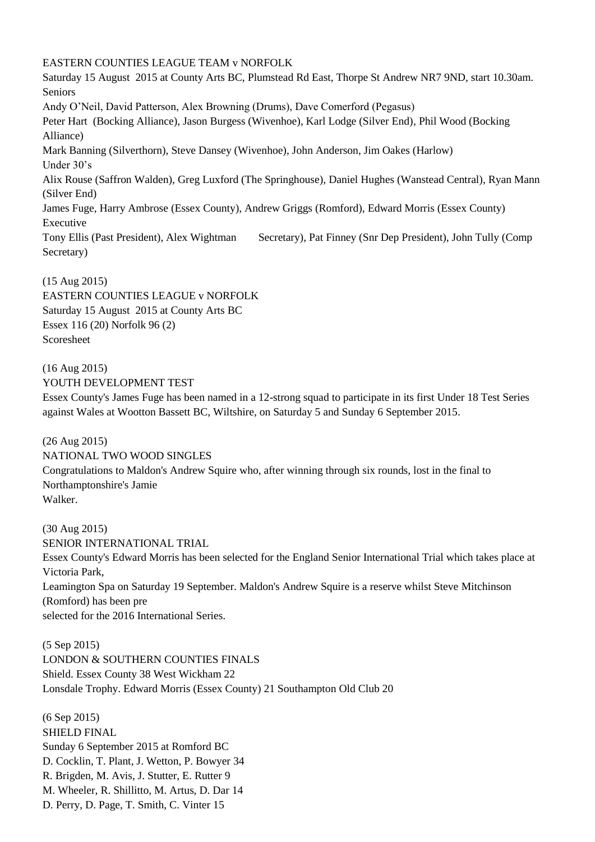## EASTERN COUNTIES LEAGUE TEAM v NORFOLK

Saturday 15 August 2015 at County Arts BC, Plumstead Rd East, Thorpe St Andrew NR7 9ND, start 10.30am. Seniors Andy O'Neil, David Patterson, Alex Browning (Drums), Dave Comerford (Pegasus) Peter Hart (Bocking Alliance), Jason Burgess (Wivenhoe), Karl Lodge (Silver End), Phil Wood (Bocking Alliance) Mark Banning (Silverthorn), Steve Dansey (Wivenhoe), John Anderson, Jim Oakes (Harlow) Under 30's Alix Rouse (Saffron Walden), Greg Luxford (The Springhouse), Daniel Hughes (Wanstead Central), Ryan Mann (Silver End) James Fuge, Harry Ambrose (Essex County), Andrew Griggs (Romford), Edward Morris (Essex County) Executive Tony Ellis (Past President), Alex Wightman Secretary), Pat Finney (Snr Dep President), John Tully (Comp Secretary)

#### (15 Aug 2015)

EASTERN COUNTIES LEAGUE v NORFOLK Saturday 15 August 2015 at County Arts BC Essex 116 (20) Norfolk 96 (2) Scoresheet

(16 Aug 2015) YOUTH DEVELOPMENT TEST Essex County's James Fuge has been named in a 12-strong squad to participate in its first Under 18 Test Series against Wales at Wootton Bassett BC, Wiltshire, on Saturday 5 and Sunday 6 September 2015.

(26 Aug 2015) NATIONAL TWO WOOD SINGLES Congratulations to Maldon's Andrew Squire who, after winning through six rounds, lost in the final to Northamptonshire's Jamie Walker.

(30 Aug 2015) SENIOR INTERNATIONAL TRIAL Essex County's Edward Morris has been selected for the England Senior International Trial which takes place at Victoria Park, Leamington Spa on Saturday 19 September. Maldon's Andrew Squire is a reserve whilst Steve Mitchinson (Romford) has been pre selected for the 2016 International Series.

(5 Sep 2015) LONDON & SOUTHERN COUNTIES FINALS Shield. Essex County 38 West Wickham 22 Lonsdale Trophy. Edward Morris (Essex County) 21 Southampton Old Club 20

(6 Sep 2015) SHIELD FINAL Sunday 6 September 2015 at Romford BC D. Cocklin, T. Plant, J. Wetton, P. Bowyer 34 R. Brigden, M. Avis, J. Stutter, E. Rutter 9 M. Wheeler, R. Shillitto, M. Artus, D. Dar 14 D. Perry, D. Page, T. Smith, C. Vinter 15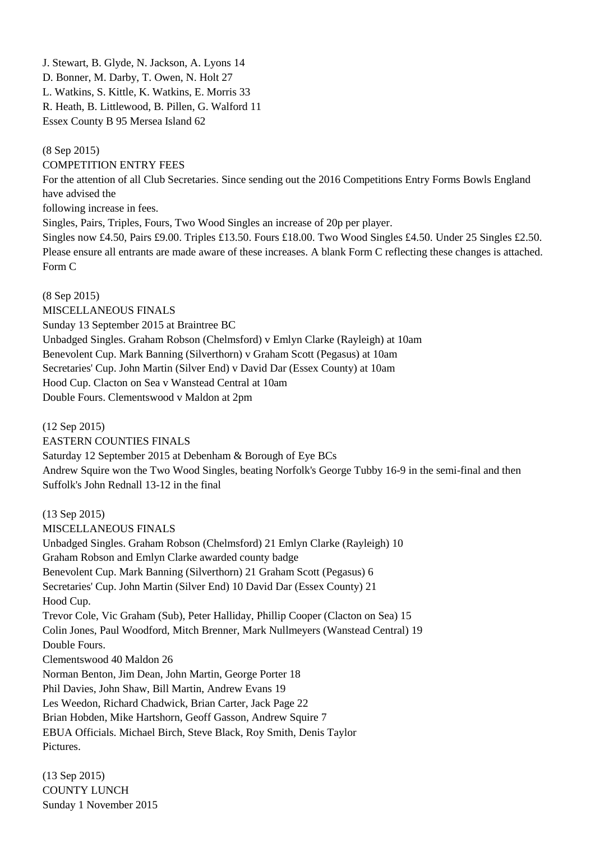J. Stewart, B. Glyde, N. Jackson, A. Lyons 14 D. Bonner, M. Darby, T. Owen, N. Holt 27 L. Watkins, S. Kittle, K. Watkins, E. Morris 33 R. Heath, B. Littlewood, B. Pillen, G. Walford 11 Essex County B 95 Mersea Island 62

(8 Sep 2015)

COMPETITION ENTRY FEES

For the attention of all Club Secretaries. Since sending out the 2016 Competitions Entry Forms Bowls England have advised the

following increase in fees.

Singles, Pairs, Triples, Fours, Two Wood Singles an increase of 20p per player.

Singles now £4.50, Pairs £9.00. Triples £13.50. Fours £18.00. Two Wood Singles £4.50. Under 25 Singles £2.50. Please ensure all entrants are made aware of these increases. A blank Form C reflecting these changes is attached. Form C

(8 Sep 2015) MISCELLANEOUS FINALS Sunday 13 September 2015 at Braintree BC Unbadged Singles. Graham Robson (Chelmsford) v Emlyn Clarke (Rayleigh) at 10am Benevolent Cup. Mark Banning (Silverthorn) v Graham Scott (Pegasus) at 10am Secretaries' Cup. John Martin (Silver End) v David Dar (Essex County) at 10am Hood Cup. Clacton on Sea v Wanstead Central at 10am Double Fours. Clementswood v Maldon at 2pm

(12 Sep 2015) EASTERN COUNTIES FINALS Saturday 12 September 2015 at Debenham & Borough of Eye BCs Andrew Squire won the Two Wood Singles, beating Norfolk's George Tubby 16-9 in the semi-final and then Suffolk's John Rednall 13-12 in the final

(13 Sep 2015) MISCELLANEOUS FINALS Unbadged Singles. Graham Robson (Chelmsford) 21 Emlyn Clarke (Rayleigh) 10 Graham Robson and Emlyn Clarke awarded county badge Benevolent Cup. Mark Banning (Silverthorn) 21 Graham Scott (Pegasus) 6 Secretaries' Cup. John Martin (Silver End) 10 David Dar (Essex County) 21 Hood Cup. Trevor Cole, Vic Graham (Sub), Peter Halliday, Phillip Cooper (Clacton on Sea) 15 Colin Jones, Paul Woodford, Mitch Brenner, Mark Nullmeyers (Wanstead Central) 19 Double Fours. Clementswood 40 Maldon 26 Norman Benton, Jim Dean, John Martin, George Porter 18 Phil Davies, John Shaw, Bill Martin, Andrew Evans 19 Les Weedon, Richard Chadwick, Brian Carter, Jack Page 22 Brian Hobden, Mike Hartshorn, Geoff Gasson, Andrew Squire 7 EBUA Officials. Michael Birch, Steve Black, Roy Smith, Denis Taylor Pictures.

(13 Sep 2015) COUNTY LUNCH Sunday 1 November 2015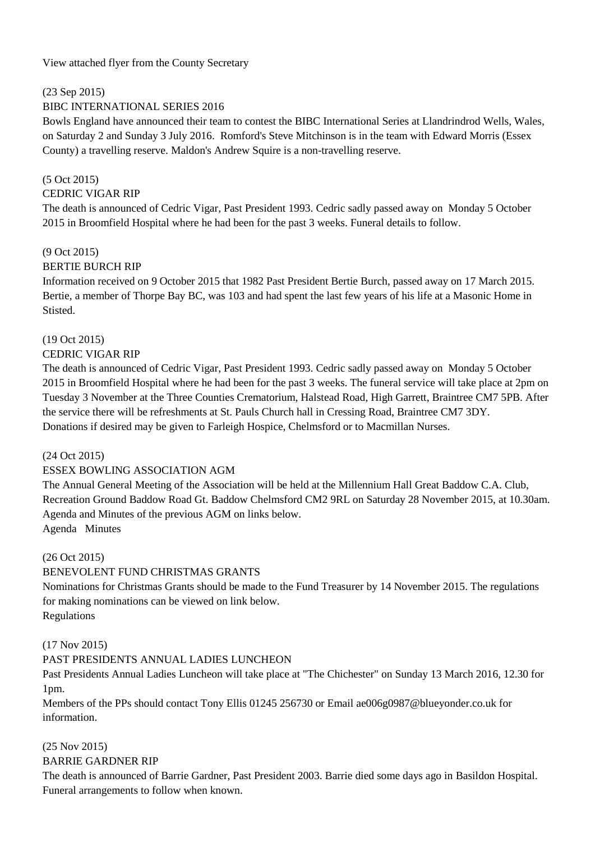View attached flyer from the County Secretary

(23 Sep 2015)

# BIBC INTERNATIONAL SERIES 2016

Bowls England have announced their team to contest the BIBC International Series at Llandrindrod Wells, Wales, on Saturday 2 and Sunday 3 July 2016. Romford's Steve Mitchinson is in the team with Edward Morris (Essex County) a travelling reserve. Maldon's Andrew Squire is a non-travelling reserve.

# (5 Oct 2015)

## CEDRIC VIGAR RIP

The death is announced of Cedric Vigar, Past President 1993. Cedric sadly passed away on Monday 5 October 2015 in Broomfield Hospital where he had been for the past 3 weeks. Funeral details to follow.

# (9 Oct 2015)

# BERTIE BURCH RIP

Information received on 9 October 2015 that 1982 Past President Bertie Burch, passed away on 17 March 2015. Bertie, a member of Thorpe Bay BC, was 103 and had spent the last few years of his life at a Masonic Home in Stisted.

# (19 Oct 2015)

## CEDRIC VIGAR RIP

The death is announced of Cedric Vigar, Past President 1993. Cedric sadly passed away on Monday 5 October 2015 in Broomfield Hospital where he had been for the past 3 weeks. The funeral service will take place at 2pm on Tuesday 3 November at the Three Counties Crematorium, Halstead Road, High Garrett, Braintree CM7 5PB. After the service there will be refreshments at St. Pauls Church hall in Cressing Road, Braintree CM7 3DY. Donations if desired may be given to Farleigh Hospice, Chelmsford or to Macmillan Nurses.

# (24 Oct 2015)

# ESSEX BOWLING ASSOCIATION AGM

The Annual General Meeting of the Association will be held at the Millennium Hall Great Baddow C.A. Club, Recreation Ground Baddow Road Gt. Baddow Chelmsford CM2 9RL on Saturday 28 November 2015, at 10.30am. Agenda and Minutes of the previous AGM on links below.

Agenda Minutes

## (26 Oct 2015)

# BENEVOLENT FUND CHRISTMAS GRANTS

Nominations for Christmas Grants should be made to the Fund Treasurer by 14 November 2015. The regulations for making nominations can be viewed on link below. Regulations

## (17 Nov 2015)

# PAST PRESIDENTS ANNUAL LADIES LUNCHEON

Past Presidents Annual Ladies Luncheon will take place at "The Chichester" on Sunday 13 March 2016, 12.30 for 1pm.

Members of the PPs should contact Tony Ellis 01245 256730 or Email ae006g0987@blueyonder.co.uk for information.

# (25 Nov 2015)

## BARRIE GARDNER RIP

The death is announced of Barrie Gardner, Past President 2003. Barrie died some days ago in Basildon Hospital. Funeral arrangements to follow when known.